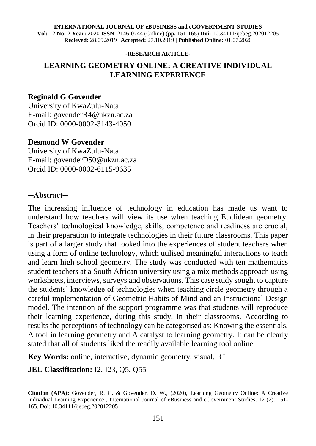#### **INTERNATIONAL JOURNAL OF eBUSINESS and eGOVERNMENT STUDIES Vol:** 12 **No:** 2 **Year:** 2020 **ISSN**: 2146-0744 (Online) (**pp.** 151-165) **Doi:** 10.34111/ijebeg.202012205 **Recieved:** 28.09.2019 | **Accepted:** 27.10.2019 | **Published Online:** 01.07.2020

#### **-RESEARCH ARTICLE-**

## **LEARNING GEOMETRY ONLINE: A CREATIVE INDIVIDUAL LEARNING EXPERIENCE**

#### **Reginald G Govender**

University of KwaZulu-Natal E-mail: govenderR4@ukzn.ac.za Orcid ID: 0000-0002-3143-4050

#### **Desmond W Govender**

University of KwaZulu-Natal E-mail: govenderD50@ukzn.ac.za Orcid ID: 0000-0002-6115-9635

#### **─Abstract─**

The increasing influence of technology in education has made us want to understand how teachers will view its use when teaching Euclidean geometry. Teachers' technological knowledge, skills; competence and readiness are crucial, in their preparation to integrate technologies in their future classrooms. This paper is part of a larger study that looked into the experiences of student teachers when using a form of online technology, which utilised meaningful interactions to teach and learn high school geometry. The study was conducted with ten mathematics student teachers at a South African university using a mix methods approach using worksheets, interviews, surveys and observations. This case study sought to capture the students' knowledge of technologies when teaching circle geometry through a careful implementation of Geometric Habits of Mind and an Instructional Design model. The intention of the support programme was that students will reproduce their learning experience, during this study, in their classrooms. According to results the perceptions of technology can be categorised as: Knowing the essentials, A tool in learning geometry and A catalyst to learning geometry. It can be clearly stated that all of students liked the readily available learning tool online.

**Key Words:** online, interactive, dynamic geometry, visual, ICT

### **JEL Classification:** I2, I23, Q5, Q55

**Citation (APA):** Govender, R. G. & Govender, D. W., (2020), Learning Geometry Online: A Creative Individual Learning Experience , International Journal of eBusiness and eGovernment Studies, 12 (2): 151- 165. Doi: 10.34111/ijebeg.202012205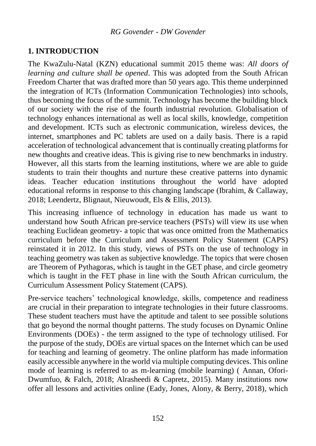### **1. INTRODUCTION**

The KwaZulu-Natal (KZN) educational summit 2015 theme was: *All doors of learning and culture shall be opened*. This was adopted from the South African Freedom Charter that was drafted more than 50 years ago. This theme underpinned the integration of ICTs (Information Communication Technologies) into schools, thus becoming the focus of the summit. Technology has become the building block of our society with the rise of the fourth industrial revolution. Globalisation of technology enhances international as well as local skills, knowledge, competition and development. ICTs such as electronic communication, wireless devices, the internet, smartphones and PC tablets are used on a daily basis. There is a rapid acceleration of technological advancement that is continually creating platforms for new thoughts and creative ideas. This is giving rise to new benchmarks in industry. However, all this starts from the learning institutions, where we are able to guide students to train their thoughts and nurture these creative patterns into dynamic ideas. Teacher education institutions throughout the world have adopted educational reforms in response to this changing landscape (Ibrahim, & Callaway, 2018; Leendertz, Blignaut, Nieuwoudt, Els & Ellis, 2013).

This increasing influence of technology in education has made us want to understand how South African pre-service teachers (PSTs) will view its use when teaching Euclidean geometry- a topic that was once omitted from the Mathematics curriculum before the Curriculum and Assessment Policy Statement (CAPS) reinstated it in 2012. In this study, views of PSTs on the use of technology in teaching geometry was taken as subjective knowledge. The topics that were chosen are Theorem of Pythagoras, which is taught in the GET phase, and circle geometry which is taught in the FET phase in line with the South African curriculum, the Curriculum Assessment Policy Statement (CAPS).

Pre-service teachers' technological knowledge, skills, competence and readiness are crucial in their preparation to integrate technologies in their future classrooms. These student teachers must have the aptitude and talent to see possible solutions that go beyond the normal thought patterns. The study focuses on Dynamic Online Environments (DOEs) - the term assigned to the type of technology utilised. For the purpose of the study, DOEs are virtual spaces on the Internet which can be used for teaching and learning of geometry. The online platform has made information easily accessible anywhere in the world via multiple computing devices. This online mode of learning is referred to as m-learning (mobile learning) ( Annan, Ofori-Dwumfuo, & Falch, 2018; Alrasheedi & Capretz, 2015). Many institutions now offer all lessons and activities online (Eady, Jones, Alony, & Berry, 2018), which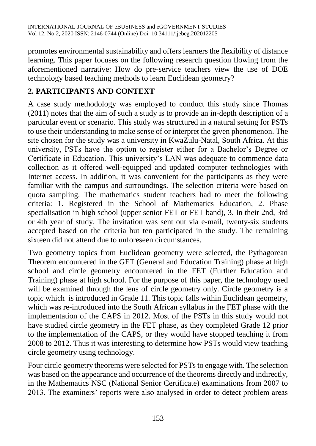promotes environmental sustainability and offers learners the flexibility of distance learning. This paper focuses on the following research question flowing from the aforementioned narrative: How do pre-service teachers view the use of DOE technology based teaching methods to learn Euclidean geometry?

# **2. PARTICIPANTS AND CONTEXT**

A case study methodology was employed to conduct this study since Thomas (2011) notes that the aim of such a study is to provide an in-depth description of a particular event or scenario. This study was structured in a natural setting for PSTs to use their understanding to make sense of or interpret the given phenomenon. The site chosen for the study was a university in KwaZulu-Natal, South Africa. At this university, PSTs have the option to register either for a Bachelor's Degree or Certificate in Education. This university's LAN was adequate to commence data collection as it offered well-equipped and updated computer technologies with Internet access. In addition, it was convenient for the participants as they were familiar with the campus and surroundings. The selection criteria were based on quota sampling. The mathematics student teachers had to meet the following criteria: 1. Registered in the School of Mathematics Education, 2. Phase specialisation in high school (upper senior FET or FET band), 3. In their 2nd, 3rd or 4th year of study. The invitation was sent out via e-mail, twenty-six students accepted based on the criteria but ten participated in the study. The remaining sixteen did not attend due to unforeseen circumstances.

Two geometry topics from Euclidean geometry were selected, the Pythagorean Theorem encountered in the GET (General and Education Training) phase at high school and circle geometry encountered in the FET (Further Education and Training) phase at high school. For the purpose of this paper, the technology used will be examined through the lens of circle geometry only. Circle geometry is a topic which is introduced in Grade 11. This topic falls within Euclidean geometry, which was re-introduced into the South African syllabus in the FET phase with the implementation of the CAPS in 2012. Most of the PSTs in this study would not have studied circle geometry in the FET phase, as they completed Grade 12 prior to the implementation of the CAPS, or they would have stopped teaching it from 2008 to 2012. Thus it was interesting to determine how PSTs would view teaching circle geometry using technology.

Four circle geometry theorems were selected for PSTs to engage with. The selection was based on the appearance and occurrence of the theorems directly and indirectly, in the Mathematics NSC (National Senior Certificate) examinations from 2007 to 2013. The examiners' reports were also analysed in order to detect problem areas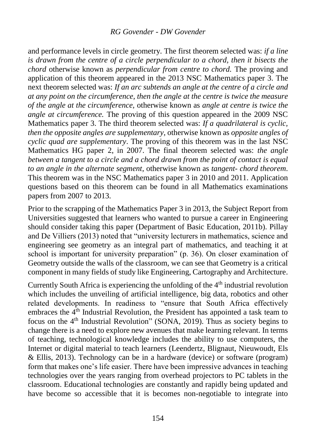#### *RG Govender - DW Govender*

and performance levels in circle geometry. The first theorem selected was: *if a line is drawn from the centre of a circle perpendicular to a chord, then it bisects the chord* otherwise known as *perpendicular from centre to chord.* The proving and application of this theorem appeared in the 2013 NSC Mathematics paper 3. The next theorem selected was: *If an arc subtends an angle at the centre of a circle and at any point on the circumference, then the angle at the centre is twice the measure of the angle at the circumference,* otherwise known as *angle at centre is twice the angle at circumference.* The proving of this question appeared in the 2009 NSC Mathematics paper 3. The third theorem selected was: *If a quadrilateral is cyclic, then the opposite angles are supplementary,* otherwise known as *opposite angles of cyclic quad are supplementary*. The proving of this theorem was in the last NSC Mathematics HG paper 2, in 2007. The final theorem selected was: *the angle between a tangent to a circle and a chord drawn from the point of contact is equal to an angle in the alternate segment*, otherwise known as *tangent- chord theorem*. This theorem was in the NSC Mathematics paper 3 in 2010 and 2011. Application questions based on this theorem can be found in all Mathematics examinations papers from 2007 to 2013.

Prior to the scrapping of the Mathematics Paper 3 in 2013, the Subject Report from Universities suggested that learners who wanted to pursue a career in Engineering should consider taking this paper (Department of Basic Education, 2011b). Pillay and De Villiers (2013) noted that "university lecturers in mathematics, science and engineering see geometry as an integral part of mathematics, and teaching it at school is important for university preparation" (p. 36). On closer examination of Geometry outside the walls of the classroom, we can see that Geometry is a critical component in many fields of study like Engineering, Cartography and Architecture.

Currently South Africa is experiencing the unfolding of the  $4<sup>th</sup>$  industrial revolution which includes the unveiling of artificial intelligence, big data, robotics and other related developments. In readiness to "ensure that South Africa effectively embraces the  $4<sup>th</sup>$  Industrial Revolution, the President has appointed a task team to focus on the 4th Industrial Revolution" (SONA, 2019). Thus as society begins to change there is a need to explore new avenues that make learning relevant. In terms of teaching, technological knowledge includes the ability to use computers, the Internet or digital material to teach learners (Leendertz, Blignaut, Nieuwoudt, Els & Ellis, 2013). Technology can be in a hardware (device) or software (program) form that makes one's life easier. There have been impressive advances in teaching technologies over the years ranging from overhead projectors to PC tablets in the classroom. Educational technologies are constantly and rapidly being updated and have become so accessible that it is becomes non-negotiable to integrate into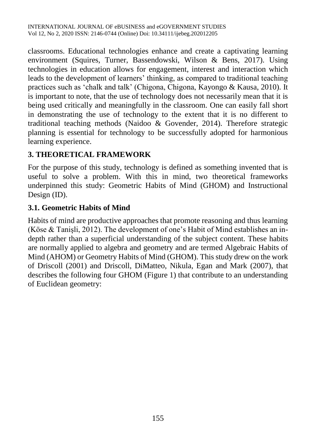classrooms. Educational technologies enhance and create a captivating learning environment (Squires, Turner, Bassendowski, Wilson & Bens, 2017). Using technologies in education allows for engagement, interest and interaction which leads to the development of learners' thinking, as compared to traditional teaching practices such as 'chalk and talk' (Chigona, Chigona, Kayongo & Kausa, 2010). It is important to note, that the use of technology does not necessarily mean that it is being used critically and meaningfully in the classroom. One can easily fall short in demonstrating the use of technology to the extent that it is no different to traditional teaching methods (Naidoo & Govender, 2014). Therefore strategic planning is essential for technology to be successfully adopted for harmonious learning experience.

# **3. THEORETICAL FRAMEWORK**

For the purpose of this study, technology is defined as something invented that is useful to solve a problem. With this in mind, two theoretical frameworks underpinned this study: Geometric Habits of Mind (GHOM) and Instructional Design (ID).

# **3.1. Geometric Habits of Mind**

Habits of mind are productive approaches that promote reasoning and thus learning (Köse & Tanişli, 2012). The development of one's Habit of Mind establishes an indepth rather than a superficial understanding of the subject content. These habits are normally applied to algebra and geometry and are termed Algebraic Habits of Mind (AHOM) or Geometry Habits of Mind (GHOM). This study drew on the work of Driscoll (2001) and Driscoll, DiMatteo, Nikula, Egan and Mark (2007), that describes the following four GHOM (Figure 1) that contribute to an understanding of Euclidean geometry: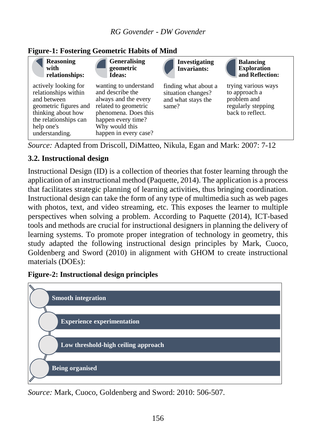

### **Figure-1: Fostering Geometric Habits of Mind**

*Source:* Adapted from Driscoll, DiMatteo, Nikula, Egan and Mark: 2007: 7-12

### **3.2. Instructional design**

Instructional Design (ID) is a collection of theories that foster learning through the application of an instructional method (Paquette, 2014). The application is a process that facilitates strategic planning of learning activities, thus bringing coordination. Instructional design can take the form of any type of multimedia such as web pages with photos, text, and video streaming, etc. This exposes the learner to multiple perspectives when solving a problem. According to Paquette (2014), ICT-based tools and methods are crucial for instructional designers in planning the delivery of learning systems. To promote proper integration of technology in geometry, this study adapted the following instructional design principles by Mark, Cuoco, Goldenberg and Sword (2010) in alignment with GHOM to create instructional materials (DOEs):

#### **Figure-2: Instructional design principles**



*Source:* Mark, Cuoco, Goldenberg and Sword: 2010: 506-507.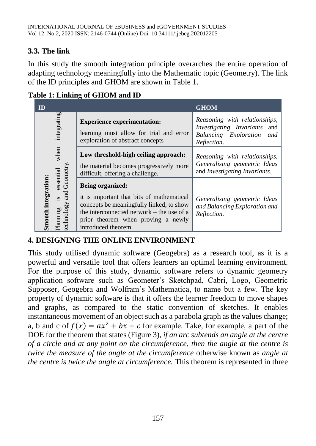# **3.3. The link**

In this study the smooth integration principle overarches the entire operation of adapting technology meaningfully into the Mathematic topic (Geometry). The link of the ID principles and GHOM are shown in Table 1.

| $\mathbf{D}$                                                                                                    |                                                                                                                                                                                                                            | <b>GHOM</b>                                                                                                  |
|-----------------------------------------------------------------------------------------------------------------|----------------------------------------------------------------------------------------------------------------------------------------------------------------------------------------------------------------------------|--------------------------------------------------------------------------------------------------------------|
| integrating<br>when<br>and Geometry<br>essential<br><b>Smooth integration:</b><br>SI.<br>technology<br>Planning | <b>Experience experimentation:</b><br>learning must allow for trial and error<br>exploration of abstract concepts                                                                                                          | Reasoning with relationships,<br>Investigating Invariants and<br>Balancing Exploration<br>and<br>Reflection. |
|                                                                                                                 | Low threshold-high ceiling approach:<br>the material becomes progressively more<br>difficult, offering a challenge.                                                                                                        | Reasoning with relationships,<br>Generalising geometric Ideas<br>and Investigating Invariants.               |
|                                                                                                                 | <b>Being organized:</b><br>it is important that bits of mathematical<br>concepts be meaningfully linked, to show<br>the interconnected network – the use of a<br>prior theorem when proving a newly<br>introduced theorem. | Generalising geometric Ideas<br>and Balancing Exploration and<br>Reflection.                                 |

**Table 1: Linking of GHOM and ID**

# **4. DESIGNING THE ONLINE ENVIRONMENT**

This study utilised dynamic software (Geogebra) as a research tool, as it is a powerful and versatile tool that offers learners an optimal learning environment. For the purpose of this study, dynamic software refers to dynamic geometry application software such as Geometer's Sketchpad, Cabri, Logo, Geometric Supposer, Geogebra and Wolfram's Mathematica, to name but a few. The key property of dynamic software is that it offers the learner freedom to move shapes and graphs, as compared to the static convention of sketches. It enables instantaneous movement of an object such as a parabola graph as the values change; a, b and c of  $f(x) = ax^2 + bx + c$  for example. Take, for example, a part of the DOE for the theorem that states (Figure 3), *if an arc subtends an angle at the centre of a circle and at any point on the circumference, then the angle at the centre is twice the measure of the angle at the circumference* otherwise known as *angle at the centre is twice the angle at circumference.* This theorem is represented in three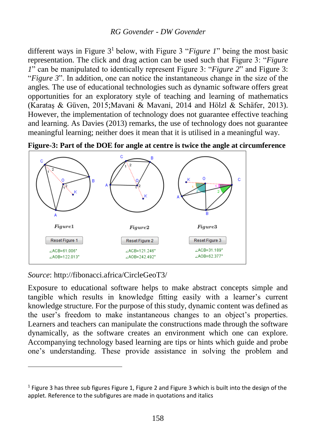### *RG Govender - DW Govender*

different ways in Figure 3<sup>1</sup> below, with Figure 3 "*Figure 1*" being the most basic representation. The click and drag action can be used such that Figure 3: "*Figure 1*" can be manipulated to identically represent Figure 3: "*Figure 2*" and Figure 3: "*Figure 3*". In addition, one can notice the instantaneous change in the size of the angles*.* The use of educational technologies such as dynamic software offers great opportunities for an exploratory style of teaching and learning of mathematics (Karataş & Güven, 2015;Mavani & Mavani, 2014 and Hölzl & Schäfer, 2013). However, the implementation of technology does not guarantee effective teaching and learning. As Davies (2013) remarks, the use of technology does not guarantee meaningful learning; neither does it mean that it is utilised in a meaningful way.



**Figure-3: Part of the DOE for angle at centre is twice the angle at circumference** 

*Source*: http://fibonacci.africa/CircleGeoT3/

 $\overline{a}$ 

Exposure to educational software helps to make abstract concepts simple and tangible which results in knowledge fitting easily with a learner's current knowledge structure. For the purpose of this study, dynamic content was defined as the user's freedom to make instantaneous changes to an object's properties. Learners and teachers can manipulate the constructions made through the software dynamically, as the software creates an environment which one can explore. Accompanying technology based learning are tips or hints which guide and probe one's understanding. These provide assistance in solving the problem and

<sup>&</sup>lt;sup>1</sup> Figure 3 has three sub figures Figure 1, Figure 2 and Figure 3 which is built into the design of the applet. Reference to the subfigures are made in quotations and italics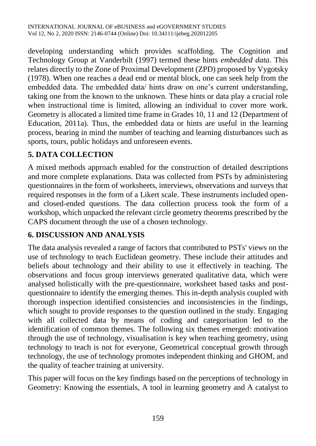developing understanding which provides scaffolding. The Cognition and Technology Group at Vanderbilt (1997) termed these hints *embedded data*. This relates directly to the Zone of Proximal Development (ZPD) proposed by Vygotsky (1978). When one reaches a dead end or mental block, one can seek help from the embedded data. The embedded data/ hints draw on one's current understanding, taking one from the known to the unknown. These hints or data play a crucial role when instructional time is limited, allowing an individual to cover more work. Geometry is allocated a limited time frame in Grades 10, 11 and 12 (Department of Education, 2011a). Thus, the embedded data or hints are useful in the learning process, bearing in mind the number of teaching and learning disturbances such as sports, tours, public holidays and unforeseen events.

# **5. DATA COLLECTION**

A mixed methods approach enabled for the construction of detailed descriptions and more complete explanations. Data was collected from PSTs by administering questionnaires in the form of worksheets, interviews, observations and surveys that required responses in the form of a Likert scale. These instruments included openand closed-ended questions. The data collection process took the form of a workshop, which unpacked the relevant circle geometry theorems prescribed by the CAPS document through the use of a chosen technology.

# **6. DISCUSSION AND ANALYSIS**

The data analysis revealed a range of factors that contributed to PSTs' views on the use of technology to teach Euclidean geometry. These include their attitudes and beliefs about technology and their ability to use it effectively in teaching. The observations and focus group interviews generated qualitative data, which were analysed holistically with the pre-questionnaire, worksheet based tasks and postquestionnaire to identify the emerging themes. This in-depth analysis coupled with thorough inspection identified consistencies and inconsistencies in the findings, which sought to provide responses to the question outlined in the study. Engaging with all collected data by means of coding and categorisation led to the identification of common themes. The following six themes emerged: motivation through the use of technology, visualisation is key when teaching geometry, using technology to teach is not for everyone, Geometrical conceptual growth through technology, the use of technology promotes independent thinking and GHOM, and the quality of teacher training at university.

This paper will focus on the key findings based on the perceptions of technology in Geometry: Knowing the essentials, A tool in learning geometry and A catalyst to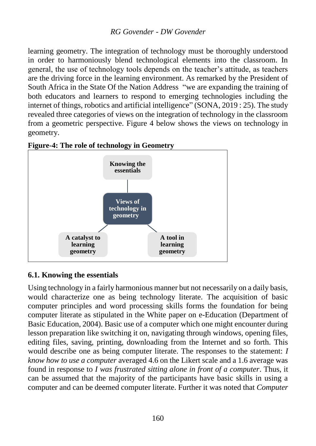learning geometry. The integration of technology must be thoroughly understood in order to harmoniously blend technological elements into the classroom. In general, the use of technology tools depends on the teacher's attitude, as teachers are the driving force in the learning environment. As remarked by the President of South Africa in the State Of the Nation Address "we are expanding the training of both educators and learners to respond to emerging technologies including the internet of things, robotics and artificial intelligence" (SONA, 2019 : 25). The study revealed three categories of views on the integration of technology in the classroom from a geometric perspective. Figure 4 below shows the views on technology in geometry.



### **Figure-4: The role of technology in Geometry**

### **6.1. Knowing the essentials**

Using technology in a fairly harmonious manner but not necessarily on a daily basis, would characterize one as being technology literate. The acquisition of basic computer principles and word processing skills forms the foundation for being computer literate as stipulated in the White paper on e-Education (Department of Basic Education, 2004). Basic use of a computer which one might encounter during lesson preparation like switching it on, navigating through windows, opening files, editing files, saving, printing, downloading from the Internet and so forth. This would describe one as being computer literate. The responses to the statement: *I know how to use a computer* averaged 4.6 on the Likert scale and a 1.6 average was found in response to *I was frustrated sitting alone in front of a computer*. Thus, it can be assumed that the majority of the participants have basic skills in using a computer and can be deemed computer literate. Further it was noted that *Computer*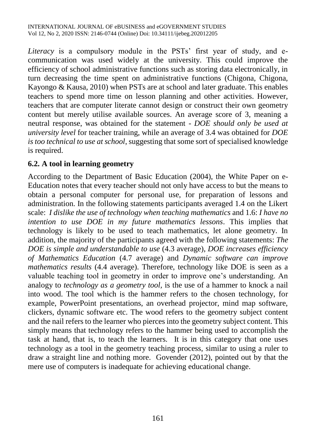*Literacy* is a compulsory module in the PSTs' first year of study, and ecommunication was used widely at the university. This could improve the efficiency of school administrative functions such as storing data electronically, in turn decreasing the time spent on administrative functions (Chigona, Chigona, Kayongo & Kausa, 2010) when PSTs are at school and later graduate. This enables teachers to spend more time on lesson planning and other activities. However, teachers that are computer literate cannot design or construct their own geometry content but merely utilise available sources. An average score of 3, meaning a neutral response, was obtained for the statement - *DOE should only be used at university level* for teacher training, while an average of 3.4 was obtained for *DOE is too technical to use at school*, suggesting that some sort of specialised knowledge is required.

# **6.2. A tool in learning geometry**

According to the Department of Basic Education (2004), the White Paper on e-Education notes that every teacher should not only have access to but the means to obtain a personal computer for personal use, for preparation of lessons and administration. In the following statements participants averaged 1.4 on the Likert scale: *I dislike the use of technology when teaching mathematics* and 1.6: *I have no intention to use DOE in my future mathematics lessons*. This implies that technology is likely to be used to teach mathematics, let alone geometry. In addition, the majority of the participants agreed with the following statements: *The DOE is simple and understandable to use* (4.3 average), *DOE increases efficiency of Mathematics Education* (4.7 average) and *Dynamic software can improve mathematics results* (4.4 average). Therefore, technology like DOE is seen as a valuable teaching tool in geometry in order to improve one's understanding. An analogy to *technology as a geometry tool,* is the use of a hammer to knock a nail into wood. The tool which is the hammer refers to the chosen technology, for example, PowerPoint presentations, an overhead projector, mind map software, clickers, dynamic software etc. The wood refers to the geometry subject content and the nail refers to the learner who pierces into the geometry subject content. This simply means that technology refers to the hammer being used to accomplish the task at hand, that is, to teach the learners. It is in this category that one uses technology as a tool in the geometry teaching process, similar to using a ruler to draw a straight line and nothing more. Govender (2012), pointed out by that the mere use of computers is inadequate for achieving educational change.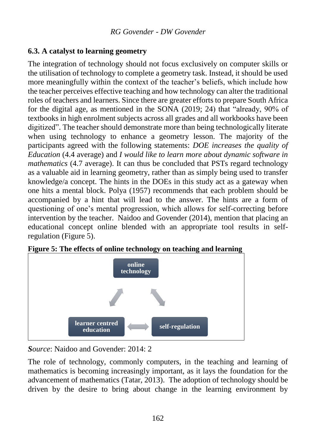# **6.3. A catalyst to learning geometry**

The integration of technology should not focus exclusively on computer skills or the utilisation of technology to complete a geometry task. Instead, it should be used more meaningfully within the context of the teacher's beliefs, which include how the teacher perceives effective teaching and how technology can alter the traditional roles of teachers and learners. Since there are greater efforts to prepare South Africa for the digital age, as mentioned in the SONA (2019; 24) that "already, 90% of textbooks in high enrolment subjects across all grades and all workbooks have been digitized". The teacher should demonstrate more than being technologically literate when using technology to enhance a geometry lesson. The majority of the participants agreed with the following statements: *DOE increases the quality of Education* (4.4 average) and *I would like to learn more about dynamic software in mathematics* (4.7 average). It can thus be concluded that PSTs regard technology as a valuable aid in learning geometry, rather than as simply being used to transfer knowledge/a concept. The hints in the DOEs in this study act as a gateway when one hits a mental block. Polya (1957) recommends that each problem should be accompanied by a hint that will lead to the answer. The hints are a form of questioning of one's mental progression, which allows for self-correcting before intervention by the teacher. Naidoo and Govender (2014), mention that placing an educational concept online blended with an appropriate tool results in selfregulation (Figure 5).



**Figure 5: The effects of online technology on teaching and learning**

*Source*: Naidoo and Govender: 2014: 2

The role of technology, commonly computers, in the teaching and learning of mathematics is becoming increasingly important, as it lays the foundation for the advancement of mathematics (Tatar, 2013). The adoption of technology should be driven by the desire to bring about change in the learning environment by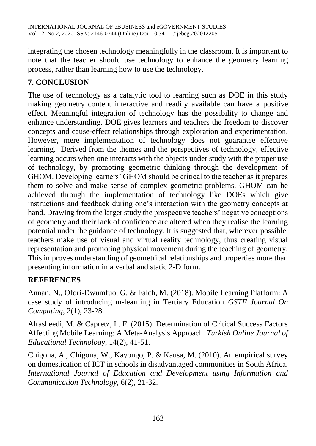integrating the chosen technology meaningfully in the classroom. It is important to note that the teacher should use technology to enhance the geometry learning process, rather than learning how to use the technology.

# **7. CONCLUSION**

The use of technology as a catalytic tool to learning such as DOE in this study making geometry content interactive and readily available can have a positive effect. Meaningful integration of technology has the possibility to change and enhance understanding. DOE gives learners and teachers the freedom to discover concepts and cause-effect relationships through exploration and experimentation. However, mere implementation of technology does not guarantee effective learning. Derived from the themes and the perspectives of technology, effective learning occurs when one interacts with the objects under study with the proper use of technology, by promoting geometric thinking through the development of GHOM. Developing learners' GHOM should be critical to the teacher as it prepares them to solve and make sense of complex geometric problems. GHOM can be achieved through the implementation of technology like DOEs which give instructions and feedback during one's interaction with the geometry concepts at hand. Drawing from the larger study the prospective teachers' negative conceptions of geometry and their lack of confidence are altered when they realise the learning potential under the guidance of technology. It is suggested that, wherever possible, teachers make use of visual and virtual reality technology, thus creating visual representation and promoting physical movement during the teaching of geometry. This improves understanding of geometrical relationships and properties more than presenting information in a verbal and static 2-D form.

### **REFERENCES**

Annan, N., Ofori-Dwumfuo, G. & Falch, M. (2018). Mobile Learning Platform: A case study of introducing m-learning in Tertiary Education. *GSTF Journal On Computing,* 2(1), 23-28.

Alrasheedi, M. & Capretz, L. F. (2015). Determination of Critical Success Factors Affecting Mobile Learning: A Meta-Analysis Approach. *Turkish Online Journal of Educational Technology*, 14(2), 41-51.

Chigona, A., Chigona, W., Kayongo, P. & Kausa, M. (2010). An empirical survey on domestication of ICT in schools in disadvantaged communities in South Africa. *International Journal of Education and Development using Information and Communication Technology,* 6(2), 21-32.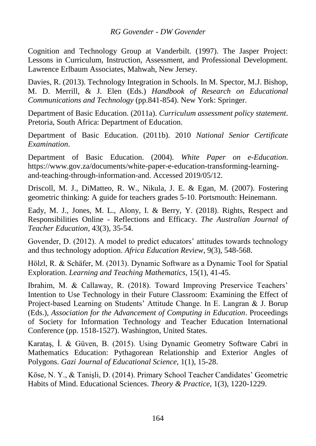#### *RG Govender - DW Govender*

Cognition and Technology Group at Vanderbilt. (1997). The Jasper Project: Lessons in Curriculum, Instruction, Assessment, and Professional Development. Lawrence Erlbaum Associates, Mahwah, New Jersey.

Davies, R. (2013). Technology Integration in Schools. In M. Spector, M.J. Bishop, M. D. Merrill, & J. Elen (Eds.) *Handbook of Research on Educational Communications and Technology* (pp.841-854). New York: Springer.

Department of Basic Education. (2011a). *Curriculum assessment policy statement*. Pretoria, South Africa: Department of Education.

Department of Basic Education. (2011b). 2010 *National Senior Certificate Examination*.

Department of Basic Education. (2004). *White Paper on e-Education*. https://www.gov.za/documents/white-paper-e-education-transforming-learningand-teaching-through-information-and. Accessed 2019/05/12.

Driscoll, M. J., DiMatteo, R. W., Nikula, J. E. & Egan, M. (2007). Fostering geometric thinking: A guide for teachers grades 5-10. Portsmouth: Heinemann.

Eady, M. J., Jones, M. L., Alony, I. & Berry, Y. (2018). Rights, Respect and Responsibilities Online - Reflections and Efficacy. *The Australian Journal of Teacher Education*, 43(3), 35-54.

Govender, D. (2012). A model to predict educators' attitudes towards technology and thus technology adoption. *Africa Education Review*, 9(3), 548-568.

Hölzl, R. & Schäfer, M. (2013). Dynamic Software as a Dynamic Tool for Spatial Exploration. *Learning and Teaching Mathematics*, 15(1), 41-45.

Ibrahim, M. & Callaway, R. (2018). Toward Improving Preservice Teachers' Intention to Use Technology in their Future Classroom: Examining the Effect of Project-based Learning on Students' Attitude Change. In E. Langran & J. Borup (Eds.), *Association for the Advancement of Computing in Education*. Proceedings of Society for Information Technology and Teacher Education International Conference (pp. 1518-1527). Washington, United States.

Karataş, İ. & Güven, B. (2015). Using Dynamic Geometry Software Cabri in Mathematics Education: Pythagorean Relationship and Exterior Angles of Polygons. *Gazi Journal of Educational Science,* 1(1), 15-28.

Köse, N. Y., & Tanişli, D. (2014). Primary School Teacher Candidates' Geometric Habits of Mind. Educational Sciences. *Theory & Practice*, 1(3), 1220-1229.